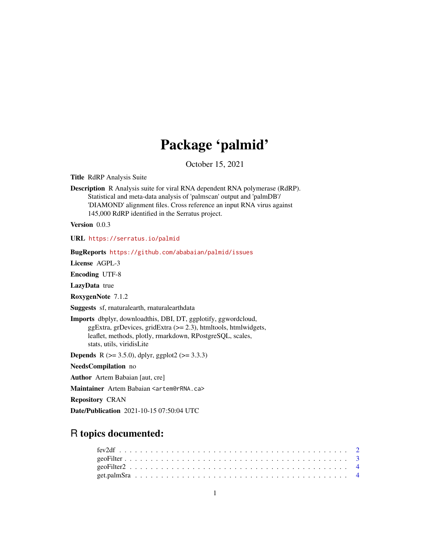## Package 'palmid'

October 15, 2021

Title RdRP Analysis Suite

Description R Analysis suite for viral RNA dependent RNA polymerase (RdRP). Statistical and meta-data analysis of 'palmscan' output and 'palmDB'/ 'DIAMOND' alignment files. Cross reference an input RNA virus against 145,000 RdRP identified in the Serratus project.

Version 0.0.3

URL <https://serratus.io/palmid>

BugReports <https://github.com/ababaian/palmid/issues>

License AGPL-3

Encoding UTF-8

LazyData true

RoxygenNote 7.1.2

Suggests sf, rnaturalearth, rnaturalearthdata

Imports dbplyr, downloadthis, DBI, DT, ggplotify, ggwordcloud, ggExtra, grDevices, gridExtra (>= 2.3), htmltools, htmlwidgets, leaflet, methods, plotly, rmarkdown, RPostgreSQL, scales, stats, utils, viridisLite

**Depends** R ( $>= 3.5.0$ ), dplyr, ggplot2 ( $>= 3.3.3$ )

NeedsCompilation no

Author Artem Babaian [aut, cre]

Maintainer Artem Babaian <artem@rRNA.ca>

Repository CRAN

Date/Publication 2021-10-15 07:50:04 UTC

## R topics documented: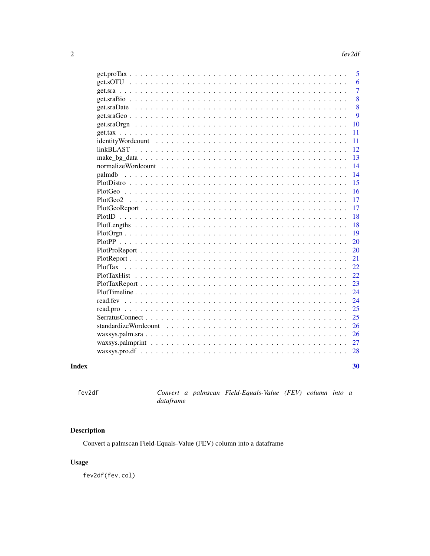<span id="page-1-0"></span>

|                                                                                          | 5              |
|------------------------------------------------------------------------------------------|----------------|
|                                                                                          | 6              |
|                                                                                          | $\overline{7}$ |
|                                                                                          | 8              |
|                                                                                          | 8              |
|                                                                                          | 9              |
|                                                                                          | 10             |
|                                                                                          | 11             |
|                                                                                          | 11             |
|                                                                                          | 12             |
|                                                                                          | 13             |
|                                                                                          | 14             |
| palmdb                                                                                   | 14             |
|                                                                                          | 15             |
|                                                                                          | 16             |
|                                                                                          | 17             |
|                                                                                          | 17             |
|                                                                                          | 18             |
|                                                                                          | 18             |
| $PlotOrgan \ldots \ldots \ldots \ldots \ldots \ldots \ldots \ldots \ldots \ldots \ldots$ | 19             |
|                                                                                          | 20             |
|                                                                                          | 20             |
|                                                                                          | 21             |
| <b>PlotTax</b>                                                                           | 22             |
|                                                                                          | 22             |
|                                                                                          | 23             |
|                                                                                          | 24             |
|                                                                                          | 24             |
|                                                                                          | 25             |
|                                                                                          | 25             |
| standardizeWordcount                                                                     | 26             |
|                                                                                          | 26             |
|                                                                                          | 27             |
|                                                                                          | 28             |
|                                                                                          |                |
|                                                                                          | 30             |
|                                                                                          |                |

## **Index**

Convert a palmscan Field-Equals-Value (FEV) column into a  $data frame$ 

## Description

Convert a palmscan Field-Equals-Value (FEV) column into a dataframe

## **Usage**

fev2df(fev.col)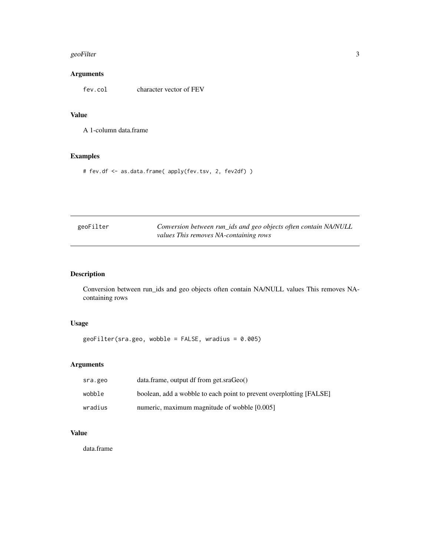#### <span id="page-2-0"></span>geoFilter 3

## Arguments

fev.col character vector of FEV

#### Value

A 1-column data.frame

## Examples

# fev.df <- as.data.frame( apply(fev.tsv, 2, fev2df) )

| geoFilter | Conversion between run_ids and geo objects often contain NA/NULL |
|-----------|------------------------------------------------------------------|
|           | values This removes NA-containing rows                           |

## Description

Conversion between run\_ids and geo objects often contain NA/NULL values This removes NAcontaining rows

## Usage

geoFilter(sra.geo, wobble = FALSE, wradius = 0.005)

## Arguments

| sra.geo | data.frame, output df from get.sraGeo()                             |
|---------|---------------------------------------------------------------------|
| wobble  | boolean, add a wobble to each point to prevent overplotting [FALSE] |
| wradius | numeric, maximum magnitude of wobble [0.005]                        |

## Value

data.frame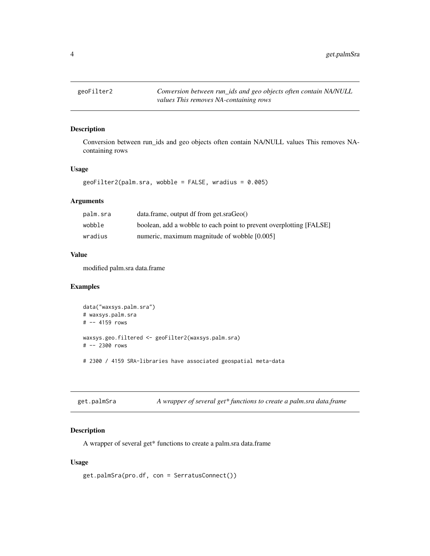<span id="page-3-0"></span>

Conversion between run\_ids and geo objects often contain NA/NULL values This removes NAcontaining rows

#### Usage

geoFilter2(palm.sra, wobble = FALSE, wradius = 0.005)

#### Arguments

| palm.sra | data.frame, output df from get.sraGeo()                             |
|----------|---------------------------------------------------------------------|
| wobble   | boolean, add a wobble to each point to prevent overplotting [FALSE] |
| wradius  | numeric, maximum magnitude of wobble [0.005]                        |

## Value

modified palm.sra data.frame

#### Examples

```
data("waxsys.palm.sra")
# waxsys.palm.sra
# -- 4159 rows
waxsys.geo.filtered <- geoFilter2(waxsys.palm.sra)
# -- 2300 rows
# 2300 / 4159 SRA-libraries have associated geospatial meta-data
```

| get.palmSra | A wrapper of several get* functions to create a palm.sra data.frame |  |
|-------------|---------------------------------------------------------------------|--|
|             |                                                                     |  |

## Description

A wrapper of several get\* functions to create a palm.sra data.frame

#### Usage

```
get.palmSra(pro.df, con = SerratusConnect())
```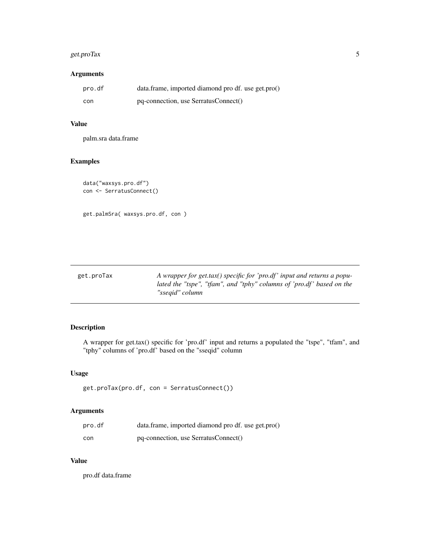## <span id="page-4-0"></span>get.proTax 5

#### Arguments

| pro.df | data.frame, imported diamond pro df. use get.pro() |
|--------|----------------------------------------------------|
| con    | pq-connection, use SerratusConnect()               |

## Value

palm.sra data.frame

## Examples

```
data("waxsys.pro.df")
con <- SerratusConnect()
```
get.palmSra( waxsys.pro.df, con )

get.proTax *A wrapper for get.tax() specific for 'pro.df ' input and returns a populated the "tspe", "tfam", and "tphy" columns of 'pro.df ' based on the "sseqid" column*

## Description

A wrapper for get.tax() specific for 'pro.df' input and returns a populated the "tspe", "tfam", and "tphy" columns of 'pro.df' based on the "sseqid" column

#### Usage

get.proTax(pro.df, con = SerratusConnect())

#### Arguments

| pro.df | data.frame, imported diamond pro df. use get.pro() |
|--------|----------------------------------------------------|
| con    | pq-connection, use SerratusConnect()               |

## Value

pro.df data.frame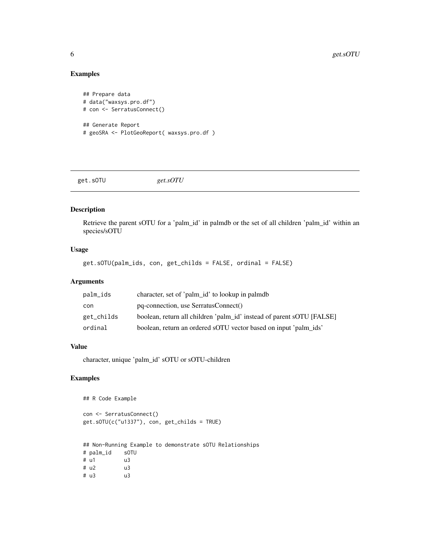## Examples

```
## Prepare data
# data("waxsys.pro.df")
# con <- SerratusConnect()
## Generate Report
# geoSRA <- PlotGeoReport( waxsys.pro.df )
```
get.sOTU *get.sOTU*

## Description

Retrieve the parent sOTU for a 'palm\_id' in palmdb or the set of all children 'palm\_id' within an species/sOTU

#### Usage

get.sOTU(palm\_ids, con, get\_childs = FALSE, ordinal = FALSE)

## Arguments

| palm_ids   | character, set of 'palm_id' to lookup in palmdb                       |
|------------|-----------------------------------------------------------------------|
| con        | pq-connection, use SerratusConnect()                                  |
| get_childs | boolean, return all children 'palm_id' instead of parent sOTU [FALSE] |
| ordinal    | boolean, return an ordered sOTU vector based on input 'palm ids'      |

#### Value

character, unique 'palm\_id' sOTU or sOTU-children

## Examples

## R Code Example

con <- SerratusConnect() get.sOTU(c("u1337"), con, get\_childs = TRUE)

```
## Non-Running Example to demonstrate sOTU Relationships
# palm_id sOTU
# u1 u3
# u2 u3
# u3 u3
```
<span id="page-5-0"></span>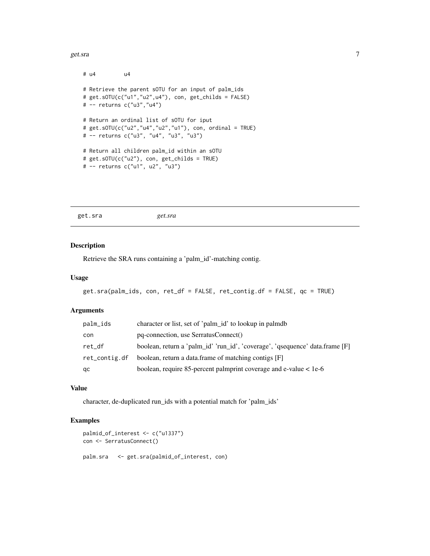#### <span id="page-6-0"></span>get.sra  $\sim$  7

```
# u4 u4
# Retrieve the parent sOTU for an input of palm_ids
# get.sOTU(c("u1","u2",u4"), con, get_childs = FALSE)
# -- returns c("u3","u4")
# Return an ordinal list of sOTU for iput
# get.sOTU(c("u2","u4","u2","u1"), con, ordinal = TRUE)
# -- returns c("u3", "u4", "u3", "u3")
# Return all children palm_id within an sOTU
# get.sOTU(c("u2"), con, get_childs = TRUE)
# -- returns c("u1", u2", "u3")
```
get.sra *get.sra*

#### Description

Retrieve the SRA runs containing a 'palm\_id'-matching contig.

#### Usage

```
get.sra(palm_ids, con, ret_df = FALSE, ret_contig.df = FALSE, qc = TRUE)
```
#### Arguments

| palm_ids      | character or list, set of 'palm_id' to lookup in palmdb                      |
|---------------|------------------------------------------------------------------------------|
| con           | pq-connection, use SerratusConnect()                                         |
| ret_df        | boolean, return a 'palm id' 'run id', 'coverage', 'qsequence' data.frame [F] |
| ret_contig.df | boolean, return a data.frame of matching contigs [F]                         |
| qc            | boolean, require 85-percent palmprint coverage and e-value $<$ 1e-6          |

#### Value

character, de-duplicated run\_ids with a potential match for 'palm\_ids'

```
palmid_of_interest <- c("u1337")
con <- SerratusConnect()
palm.sra <- get.sra(palmid_of_interest, con)
```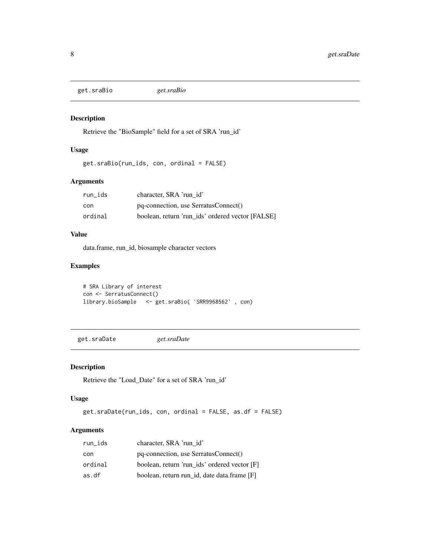<span id="page-7-0"></span>get.sraBio *get.sraBio*

#### Description

Retrieve the "BioSample" field for a set of SRA 'run\_id'

#### Usage

get.sraBio(run\_ids, con, ordinal = FALSE)

## Arguments

| run ids | character, SRA 'run id'                          |
|---------|--------------------------------------------------|
| con     | pq-connection, use SerratusConnect()             |
| ordinal | boolean, return 'run ids' ordered vector [FALSE] |

## Value

data.frame, run\_id, biosample character vectors

## Examples

```
# SRA Library of interest
con <- SerratusConnect()
library.bioSample <- get.sraBio( 'SRR9968562' , con)
```
get.sraDate *get.sraDate*

## Description

Retrieve the "Load\_Date" for a set of SRA 'run\_id'

#### Usage

```
get.sraDate(run_ids, con, ordinal = FALSE, as.df = FALSE)
```
## Arguments

| run_ids | character, SRA 'run id'                      |
|---------|----------------------------------------------|
| con     | pq-connection, use SerratusConnect()         |
| ordinal | boolean, return 'run_ids' ordered vector [F] |
| as.df   | boolean, return run_id, date data.frame [F]  |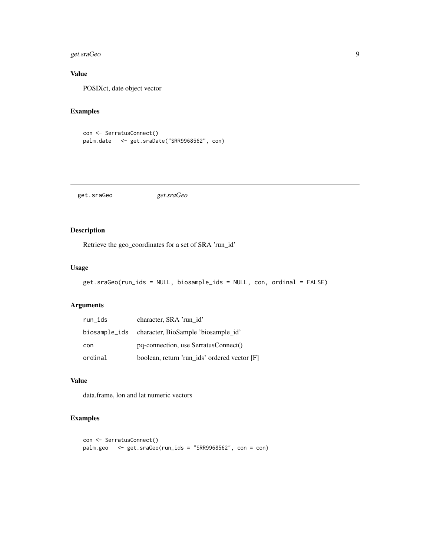## <span id="page-8-0"></span>get.sraGeo 9

## Value

POSIXct, date object vector

## Examples

```
con <- SerratusConnect()
palm.date <- get.sraDate("SRR9968562", con)
```
get.sraGeo *get.sraGeo*

## Description

Retrieve the geo\_coordinates for a set of SRA 'run\_id'

#### Usage

```
get.sraGeo(run_ids = NULL, biosample_ids = NULL, con, ordinal = FALSE)
```
## Arguments

| run_ids | character, SRA 'run id'                           |  |
|---------|---------------------------------------------------|--|
|         | biosample_ids character, BioSample 'biosample_id' |  |
| con     | pq-connection, use SerratusConnect()              |  |
| ordinal | boolean, return 'run_ids' ordered vector [F]      |  |

#### Value

data.frame, lon and lat numeric vectors

```
con <- SerratusConnect()
palm.geo <- get.sraGeo(run_ids = "SRR9968562", con = con)
```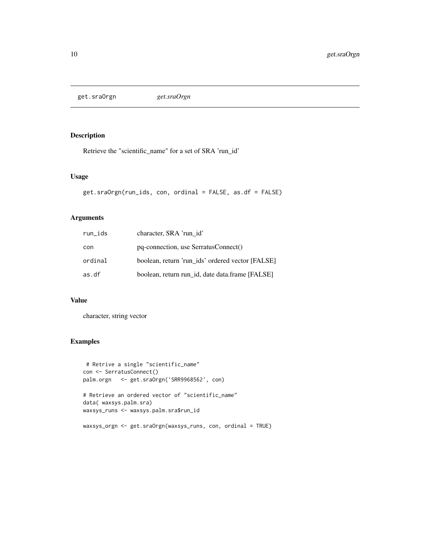<span id="page-9-0"></span>get.sraOrgn *get.sraOrgn*

#### Description

Retrieve the "scientific\_name" for a set of SRA 'run\_id'

## Usage

```
get.sraOrgn(run_ids, con, ordinal = FALSE, as.df = FALSE)
```
#### Arguments

| run_ids | character, SRA 'run id'                          |
|---------|--------------------------------------------------|
| con     | pq-connection, use SerratusConnect()             |
| ordinal | boolean, return 'run_ids' ordered vector [FALSE] |
| as.df   | boolean, return run id, date data.frame [FALSE]  |

#### Value

character, string vector

```
# Retrive a single "scientific_name"
con <- SerratusConnect()
palm.orgn <- get.sraOrgn('SRR9968562', con)
# Retrieve an ordered vector of "scientific_name"
data( waxsys.palm.sra)
waxsys_runs <- waxsys.palm.sra$run_id
waxsys_orgn <- get.sraOrgn(waxsys_runs, con, ordinal = TRUE)
```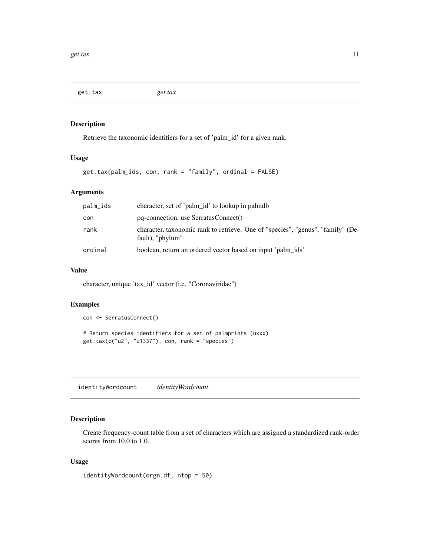<span id="page-10-0"></span>get.tax *get.tax*

#### Description

Retrieve the taxonomic identifiers for a set of 'palm\_id' for a given rank.

#### Usage

```
get.tax(palm_ids, con, rank = "family", ordinal = FALSE)
```
#### Arguments

| palm_ids | character, set of 'palm_id' to lookup in palmdb                                                     |
|----------|-----------------------------------------------------------------------------------------------------|
| con      | pq-connection, use SerratusConnect()                                                                |
| rank     | character, taxonomic rank to retrieve. One of "species", "genus", "family" (De-<br>fault), "phylum" |
| ordinal  | boolean, return an ordered vector based on input 'palm ids'                                         |

#### Value

character, unique 'tax\_id' vector (i.e. "Coronaviridae")

## Examples

con <- SerratusConnect()

# Return species-identifiers for a set of palmprints (uxxx) get.tax(c("u2", "u1337"), con, rank = "species")

identityWordcount *identityWordcount*

## Description

Create frequency-count table from a set of characters which are assigned a standardized rank-order scores from 10.0 to 1.0.

#### Usage

identityWordcount(orgn.df, ntop = 50)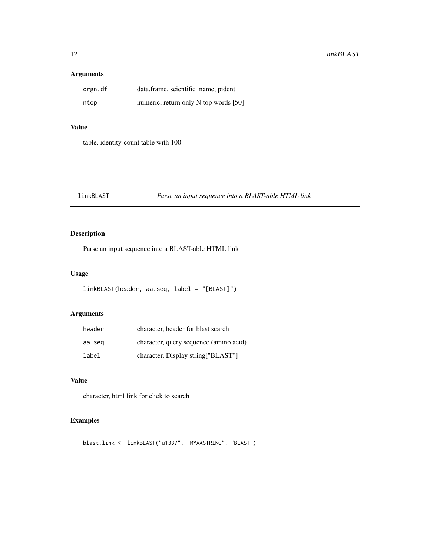## <span id="page-11-0"></span>Arguments

| orgn.df | data.frame, scientific_name, pident   |
|---------|---------------------------------------|
| ntop    | numeric, return only N top words [50] |

## Value

table, identity-count table with 100

## linkBLAST *Parse an input sequence into a BLAST-able HTML link*

## Description

Parse an input sequence into a BLAST-able HTML link

## Usage

```
linkBLAST(header, aa.seq, label = "[BLAST]")
```
## Arguments

| header | character, header for blast search     |  |
|--------|----------------------------------------|--|
| aa.seg | character, query sequence (amino acid) |  |
| label  | character, Display string ["BLAST"]    |  |

#### Value

character, html link for click to search

## Examples

blast.link <- linkBLAST("u1337", "MYAASTRING", "BLAST")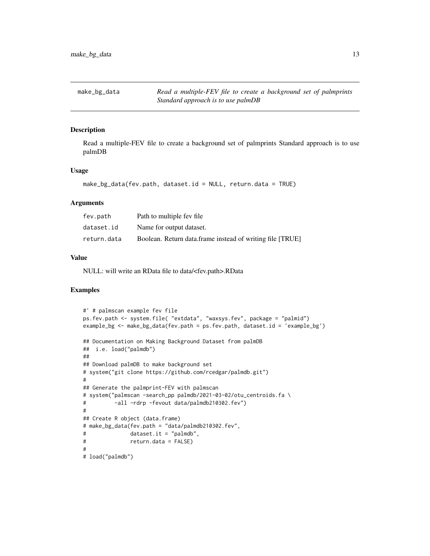<span id="page-12-0"></span>make\_bg\_data *Read a multiple-FEV file to create a background set of palmprints Standard approach is to use palmDB*

#### Description

Read a multiple-FEV file to create a background set of palmprints Standard approach is to use palmDB

#### Usage

```
make_bg_data(fev.path, dataset.id = NULL, return.data = TRUE)
```
#### Arguments

| fev.path    | Path to multiple fey file.                                |
|-------------|-----------------------------------------------------------|
| dataset.id  | Name for output dataset.                                  |
| return.data | Boolean. Return data frame instead of writing file [TRUE] |

#### Value

NULL: will write an RData file to data/<fev.path>.RData

```
#' # palmscan example fev file
ps.fev.path <- system.file( "extdata", "waxsys.fev", package = "palmid")
example_bg <- make_bg_data(fev.path = ps.fev.path, dataset.id = 'example_bg')
## Documentation on Making Background Dataset from palmDB
## i.e. load("palmdb")
##
## Download palmDB to make background set
# system("git clone https://github.com/rcedgar/palmdb.git")
#
## Generate the palmprint-FEV with palmscan
# system("palmscan -search_pp palmdb/2021-03-02/otu_centroids.fa \
# -all -rdrp -fevout data/palmdb210302.fev")
#
## Create R object (data.frame)
# make_bg_data(fev.path = "data/palmdb210302.fev",
# dataset.it = "palmdb",
# return.data = FALSE)
#
# load("palmdb")
```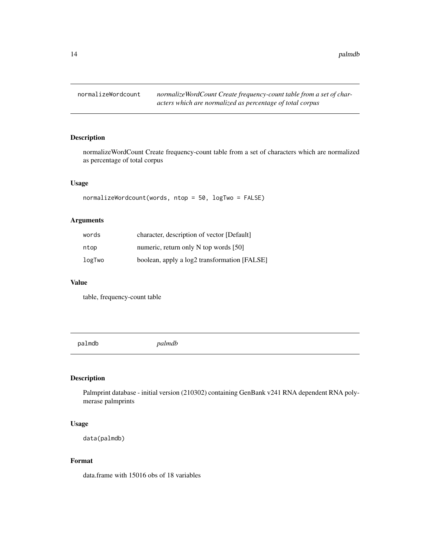<span id="page-13-0"></span>

normalizeWordCount Create frequency-count table from a set of characters which are normalized as percentage of total corpus

#### Usage

```
normalizeWordcount(words, ntop = 50, logTwo = FALSE)
```
## Arguments

| words  | character, description of vector [Default]   |
|--------|----------------------------------------------|
| ntop   | numeric, return only $N$ top words [50]      |
| logTwo | boolean, apply a log2 transformation [FALSE] |

#### Value

table, frequency-count table

palmdb *palmdb*

## Description

Palmprint database - initial version (210302) containing GenBank v241 RNA dependent RNA polymerase palmprints

#### Usage

```
data(palmdb)
```
#### Format

data.frame with 15016 obs of 18 variables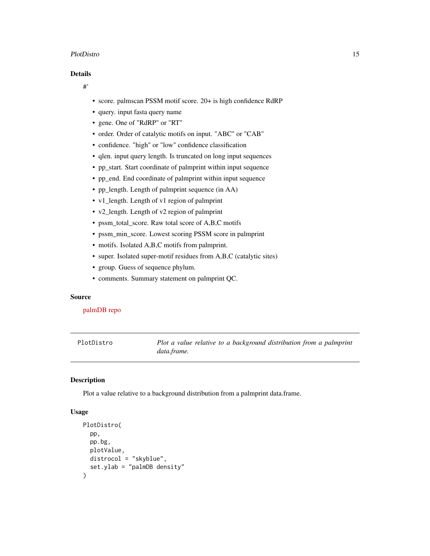#### <span id="page-14-0"></span>PlotDistro 15

#### Details

#'

- score. palmscan PSSM motif score. 20+ is high confidence RdRP
- query. input fasta query name
- gene. One of "RdRP" or "RT"
- order. Order of catalytic motifs on input. "ABC" or "CAB"
- confidence. "high" or "low" confidence classification
- qlen. input query length. Is truncated on long input sequences
- pp\_start. Start coordinate of palmprint within input sequence
- pp\_end. End coordinate of palmprint within input sequence
- pp\_length. Length of palmprint sequence (in AA)
- v1\_length. Length of v1 region of palmprint
- v2\_length. Length of v2 region of palmprint
- pssm\_total\_score. Raw total score of A,B,C motifs
- pssm\_min\_score. Lowest scoring PSSM score in palmprint
- motifs. Isolated A,B,C motifs from palmprint.
- super. Isolated super-motif residues from A,B,C (catalytic sites)
- group. Guess of sequence phylum.
- comments. Summary statement on palmprint QC.

#### Source

#### [palmDB repo](https://github.com/rcedgar/palmdb)

PlotDistro *Plot a value relative to a background distribution from a palmprint data.frame.*

#### Description

Plot a value relative to a background distribution from a palmprint data.frame.

#### Usage

```
PlotDistro(
  pp,
 pp.bg,
 plotValue,
 distrocol = "skyblue",
  set.ylab = "palmDB density"
)
```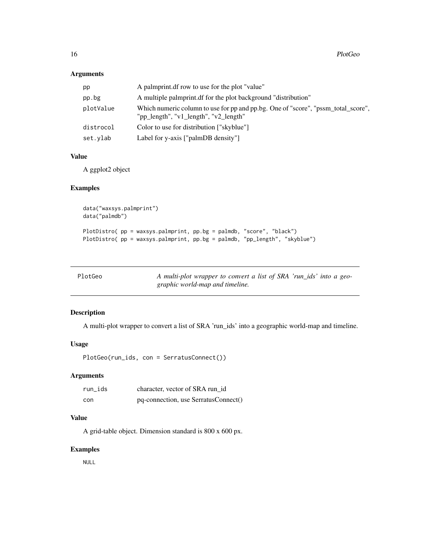#### <span id="page-15-0"></span>Arguments

| pp        | A palmprint df row to use for the plot "value"                                                                             |
|-----------|----------------------------------------------------------------------------------------------------------------------------|
| pp.bg     | A multiple palmprint of for the plot background "distribution"                                                             |
| plotValue | Which numeric column to use for pp and pp.bg. One of "score", "pssm_total_score",<br>"pp_length", "v1_length", "v2_length" |
| distrocol | Color to use for distribution ["skyblue"]                                                                                  |
| set.vlab  | Label for y-axis [ $"palmDB density"$ ]                                                                                    |

#### Value

A ggplot2 object

## Examples

```
data("waxsys.palmprint")
data("palmdb")
PlotDistro( pp = waxsys.palmprint, pp.bg = palmdb, "score", "black")
PlotDistro( pp = waxsys.palmprint, pp.bg = palmdb, "pp_length", "skyblue")
```

| PlotGeo | A multi-plot wrapper to convert a list of SRA 'run_ids' into a geo- |
|---------|---------------------------------------------------------------------|
|         | graphic world-map and timeline.                                     |

## Description

A multi-plot wrapper to convert a list of SRA 'run\_ids' into a geographic world-map and timeline.

#### Usage

PlotGeo(run\_ids, con = SerratusConnect())

## Arguments

| run ids | character, vector of SRA run id      |  |  |
|---------|--------------------------------------|--|--|
| con     | pq-connection, use SerratusConnect() |  |  |

## Value

A grid-table object. Dimension standard is 800 x 600 px.

#### Examples

NULL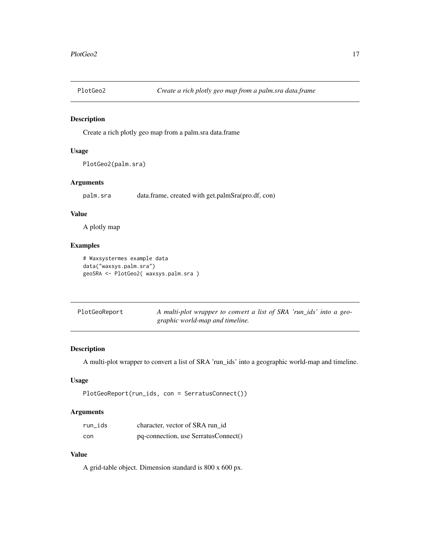<span id="page-16-0"></span>

Create a rich plotly geo map from a palm.sra data.frame

## Usage

```
PlotGeo2(palm.sra)
```
## Arguments

palm.sra data.frame, created with get.palmSra(pro.df, con)

## Value

A plotly map

## Examples

```
# Waxsystermes example data
data("waxsys.palm.sra")
geoSRA <- PlotGeo2( waxsys.palm.sra )
```

| PlotGeoReport | A multi-plot wrapper to convert a list of SRA 'run_ids' into a geo- |  |
|---------------|---------------------------------------------------------------------|--|
|               | graphic world-map and timeline.                                     |  |

#### Description

A multi-plot wrapper to convert a list of SRA 'run\_ids' into a geographic world-map and timeline.

#### Usage

```
PlotGeoReport(run_ids, con = SerratusConnect())
```
## Arguments

| run_ids | character, vector of SRA run id      |
|---------|--------------------------------------|
| con     | pq-connection, use SerratusConnect() |

## Value

A grid-table object. Dimension standard is 800 x 600 px.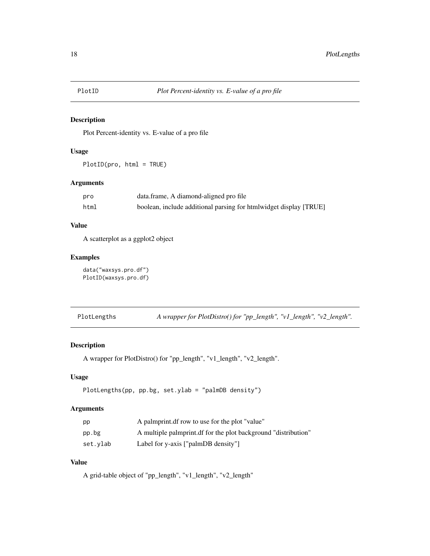<span id="page-17-0"></span>

Plot Percent-identity vs. E-value of a pro file

## Usage

PlotID(pro, html = TRUE)

#### Arguments

| pro  | data.frame, A diamond-aligned pro file                            |
|------|-------------------------------------------------------------------|
| html | boolean, include additional parsing for htmlwidget display [TRUE] |

## Value

A scatterplot as a ggplot2 object

#### Examples

data("waxsys.pro.df") PlotID(waxsys.pro.df)

| PlotLengths | A wrapper for PlotDistro() for "pp_length", "v1_length", "v2_length". |  |  |  |
|-------------|-----------------------------------------------------------------------|--|--|--|
|-------------|-----------------------------------------------------------------------|--|--|--|

## Description

A wrapper for PlotDistro() for "pp\_length", "v1\_length", "v2\_length".

## Usage

```
PlotLengths(pp, pp.bg, set.ylab = "palmDB density")
```
## Arguments

| pp       | A palmprint df row to use for the plot "value"                 |
|----------|----------------------------------------------------------------|
| pp.bg    | A multiple palmprint of for the plot background "distribution" |
| set.ylab | Label for y-axis ["palmDB density"]                            |

## Value

A grid-table object of "pp\_length", "v1\_length", "v2\_length"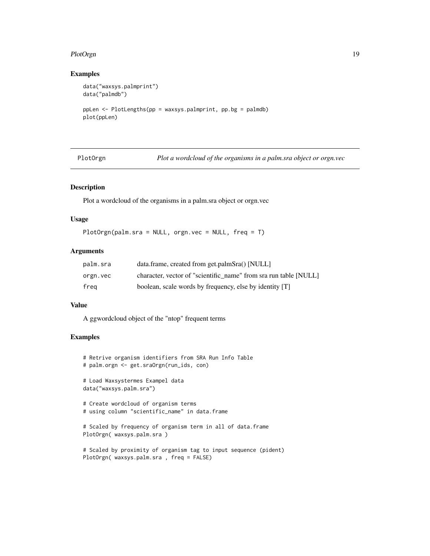#### <span id="page-18-0"></span>PlotOrgn 2012 2013 2014 2022 2022 2023 2024 2022 2022 2023 2024 2022 2023 2024 2022 2023 2024 2022 2023 2024 20

## Examples

```
data("waxsys.palmprint")
data("palmdb")
ppLen <- PlotLengths(pp = waxsys.palmprint, pp.bg = palmdb)
plot(ppLen)
```
PlotOrgn *Plot a wordcloud of the organisms in a palm.sra object or orgn.vec*

#### Description

Plot a wordcloud of the organisms in a palm.sra object or orgn.vec

#### Usage

PlotOrgn(palm.sra = NULL, orgn.vec = NULL, freq = T)

#### Arguments

| palm.sra | data.frame, created from get.palmSra() [NULL]                    |
|----------|------------------------------------------------------------------|
| orgn.vec | character, vector of "scientific name" from sra run table [NULL] |
| frea     | boolean, scale words by frequency, else by identity [T]          |

#### Value

A ggwordcloud object of the "ntop" frequent terms

```
# Retrive organism identifiers from SRA Run Info Table
# palm.orgn <- get.sraOrgn(run_ids, con)
# Load Waxsystermes Exampel data
data("waxsys.palm.sra")
# Create wordcloud of organism terms
# using column "scientific_name" in data.frame
# Scaled by frequency of organism term in all of data.frame
PlotOrgn( waxsys.palm.sra )
# Scaled by proximity of organism tag to input sequence (pident)
```

```
PlotOrgn( waxsys.palm.sra , freq = FALSE)
```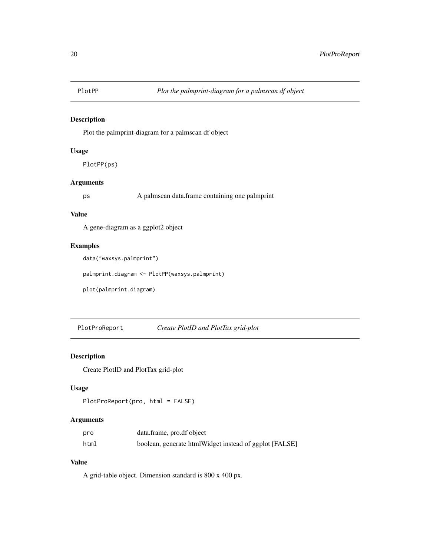<span id="page-19-0"></span>

Plot the palmprint-diagram for a palmscan df object

#### Usage

PlotPP(ps)

## Arguments

ps A palmscan data.frame containing one palmprint

## Value

A gene-diagram as a ggplot2 object

## Examples

data("waxsys.palmprint")

palmprint.diagram <- PlotPP(waxsys.palmprint)

plot(palmprint.diagram)

PlotProReport *Create PlotID and PlotTax grid-plot*

## Description

Create PlotID and PlotTax grid-plot

## Usage

```
PlotProReport(pro, html = FALSE)
```
## Arguments

| pro  | data.frame, pro.df object                              |
|------|--------------------------------------------------------|
| html | boolean, generate htmlWidget instead of ggplot [FALSE] |

## Value

A grid-table object. Dimension standard is 800 x 400 px.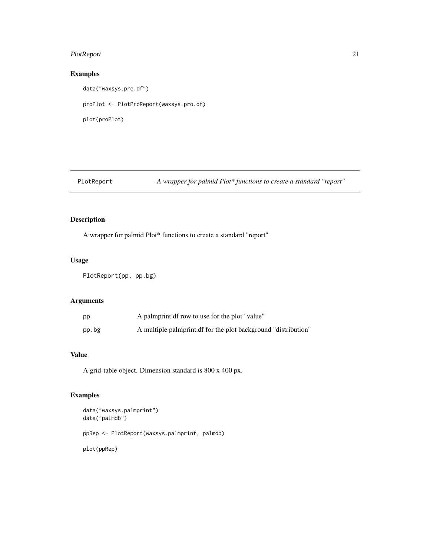## <span id="page-20-0"></span>PlotReport 21

## Examples

data("waxsys.pro.df") proPlot <- PlotProReport(waxsys.pro.df) plot(proPlot)

## PlotReport *A wrapper for palmid Plot\* functions to create a standard "report"*

## Description

A wrapper for palmid Plot\* functions to create a standard "report"

#### Usage

PlotReport(pp, pp.bg)

## Arguments

| pp    | A palmprint df row to use for the plot "value"                 |
|-------|----------------------------------------------------------------|
| pp.bg | A multiple palmprint of for the plot background "distribution" |

#### Value

A grid-table object. Dimension standard is 800 x 400 px.

```
data("waxsys.palmprint")
data("palmdb")
ppRep <- PlotReport(waxsys.palmprint, palmdb)
plot(ppRep)
```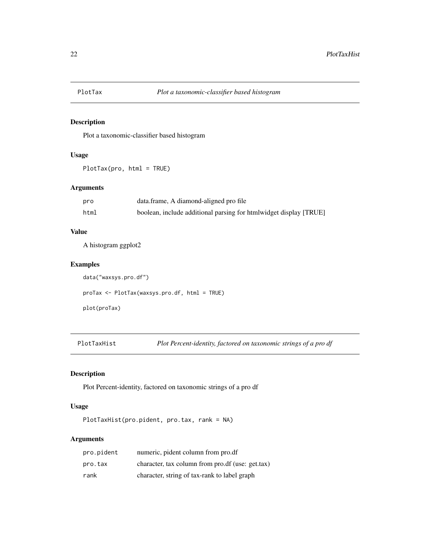<span id="page-21-0"></span>

Plot a taxonomic-classifier based histogram

## Usage

PlotTax(pro, html = TRUE)

## Arguments

| pro  | data.frame, A diamond-aligned pro file                            |
|------|-------------------------------------------------------------------|
| html | boolean, include additional parsing for htmlwidget display [TRUE] |

#### Value

A histogram ggplot2

## Examples

```
data("waxsys.pro.df")
proTax <- PlotTax(waxsys.pro.df, html = TRUE)
plot(proTax)
```
PlotTaxHist *Plot Percent-identity, factored on taxonomic strings of a pro df*

## Description

Plot Percent-identity, factored on taxonomic strings of a pro df

## Usage

PlotTaxHist(pro.pident, pro.tax, rank = NA)

#### Arguments

| pro.pident | numeric, pident column from pro.df               |
|------------|--------------------------------------------------|
| pro.tax    | character, tax column from pro.df (use: get.tax) |
| rank       | character, string of tax-rank to label graph     |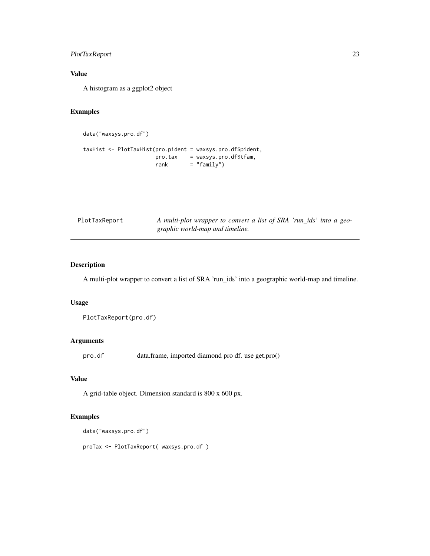## <span id="page-22-0"></span>PlotTaxReport 23

## Value

A histogram as a ggplot2 object

## Examples

data("waxsys.pro.df")

taxHist <- PlotTaxHist(pro.pident = waxsys.pro.df\$pident, pro.tax = waxsys.pro.df\$tfam,  $rank = "family")$ 

| PlotTaxReport                   | A multi-plot wrapper to convert a list of SRA 'run_ids' into a geo- |  |
|---------------------------------|---------------------------------------------------------------------|--|
| graphic world-map and timeline. |                                                                     |  |

## Description

A multi-plot wrapper to convert a list of SRA 'run\_ids' into a geographic world-map and timeline.

#### Usage

PlotTaxReport(pro.df)

## Arguments

pro.df data.frame, imported diamond pro df. use get.pro()

## Value

A grid-table object. Dimension standard is 800 x 600 px.

## Examples

data("waxsys.pro.df")

proTax <- PlotTaxReport( waxsys.pro.df )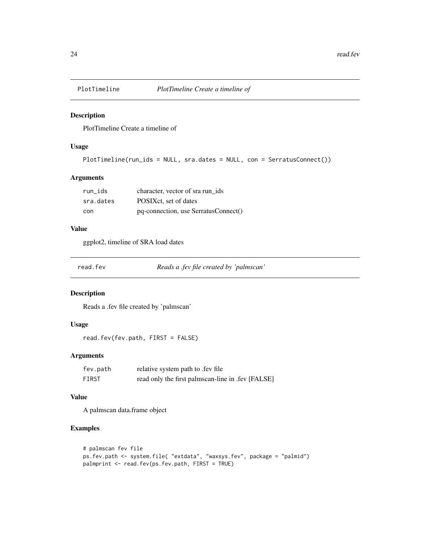<span id="page-23-0"></span>

PlotTimeline Create a timeline of

## Usage

```
PlotTimeline(run_ids = NULL, sra.dates = NULL, con = SerratusConnect())
```
#### Arguments

| run ids   | character, vector of sra run ids     |
|-----------|--------------------------------------|
| sra.dates | POSIXct, set of dates                |
| con       | pq-connection, use SerratusConnect() |

## Value

ggplot2, timeline of SRA load dates

| read.fev |  |
|----------|--|
|----------|--|

read.fev *Reads a .fev file created by 'palmscan'*

## Description

Reads a .fev file created by 'palmscan'

## Usage

read.fev(fev.path, FIRST = FALSE)

#### Arguments

| fev.path | relative system path to .fev file                 |
|----------|---------------------------------------------------|
| FIRST    | read only the first palmscan-line in .fev [FALSE] |

#### Value

A palmscan data.frame object

```
# palmscan fev file
ps.fev.path <- system.file( "extdata", "waxsys.fev", package = "palmid")
palmprint <- read.fev(ps.fev.path, FIRST = TRUE)
```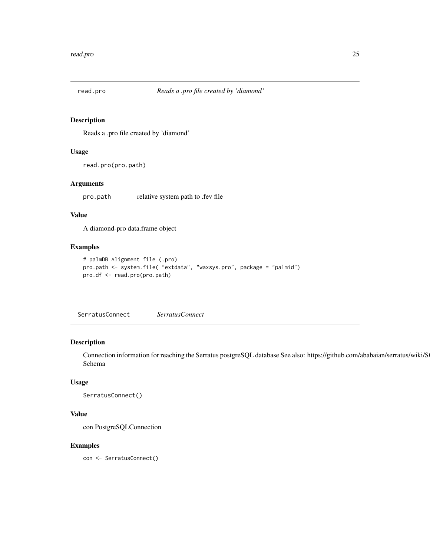<span id="page-24-0"></span>

Reads a .pro file created by 'diamond'

#### Usage

```
read.pro(pro.path)
```
## Arguments

pro.path relative system path to .fev file

#### Value

A diamond-pro data.frame object

## Examples

```
# palmDB Alignment file (.pro)
pro.path <- system.file( "extdata", "waxsys.pro", package = "palmid")
pro.df <- read.pro(pro.path)
```
SerratusConnect *SerratusConnect*

## Description

Connection information for reaching the Serratus postgreSQL database See also: https://github.com/ababaian/serratus/wiki/S Schema

## Usage

```
SerratusConnect()
```
#### Value

con PostgreSQLConnection

#### Examples

con <- SerratusConnect()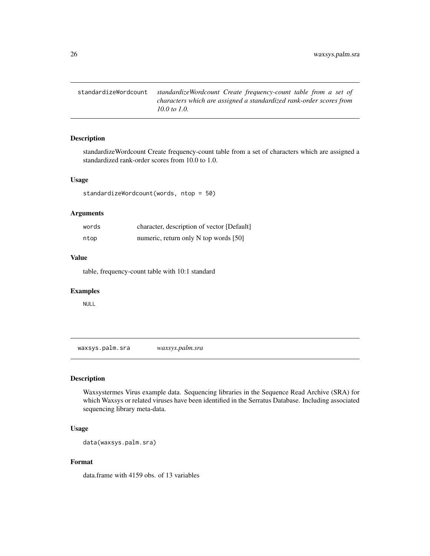<span id="page-25-0"></span>standardizeWordcount *standardizeWordcount Create frequency-count table from a set of characters which are assigned a standardized rank-order scores from 10.0 to 1.0.*

## Description

standardizeWordcount Create frequency-count table from a set of characters which are assigned a standardized rank-order scores from 10.0 to 1.0.

#### Usage

standardizeWordcount(words, ntop = 50)

#### Arguments

| words | character, description of vector [Default] |
|-------|--------------------------------------------|
| ntop  | numeric, return only N top words [50]      |

#### Value

table, frequency-count table with 10:1 standard

#### Examples

NULL

waxsys.palm.sra *waxsys.palm.sra*

## Description

Waxsystermes Virus example data. Sequencing libraries in the Sequence Read Archive (SRA) for which Waxsys or related viruses have been identified in the Serratus Database. Including associated sequencing library meta-data.

## Usage

```
data(waxsys.palm.sra)
```
#### Format

data.frame with 4159 obs. of 13 variables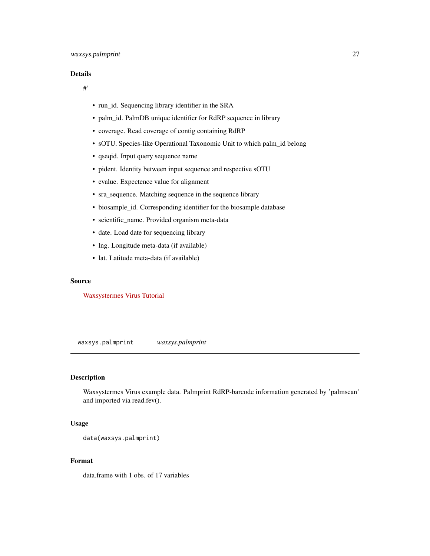#### <span id="page-26-0"></span>Details

#'

- run\_id. Sequencing library identifier in the SRA
- palm\_id. PalmDB unique identifier for RdRP sequence in library
- coverage. Read coverage of contig containing RdRP
- sOTU. Species-like Operational Taxonomic Unit to which palm\_id belong
- qseqid. Input query sequence name
- pident. Identity between input sequence and respective sOTU
- evalue. Expectence value for alignment
- sra\_sequence. Matching sequence in the sequence library
- biosample\_id. Corresponding identifier for the biosample database
- scientific\_name. Provided organism meta-data
- date. Load date for sequencing library
- lng. Longitude meta-data (if available)
- lat. Latitude meta-data (if available)

## Source

[Waxsystermes Virus Tutorial](https://github.com/ababaian/serratus/wiki/Find_novel_viruses_B_palmdb)

waxsys.palmprint *waxsys.palmprint*

## Description

Waxsystermes Virus example data. Palmprint RdRP-barcode information generated by 'palmscan' and imported via read.fev().

#### Usage

```
data(waxsys.palmprint)
```
#### Format

data.frame with 1 obs. of 17 variables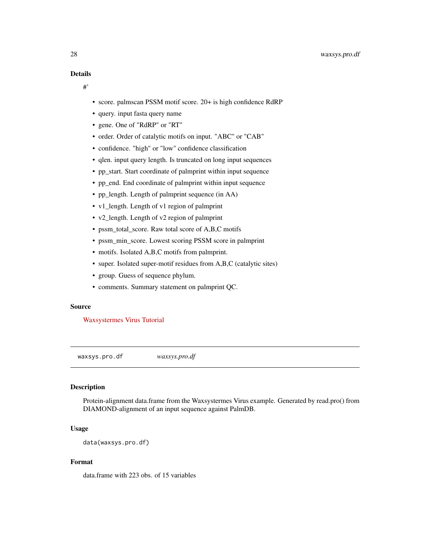<span id="page-27-0"></span>#'

- score. palmscan PSSM motif score. 20+ is high confidence RdRP
- query. input fasta query name
- gene. One of "RdRP" or "RT"
- order. Order of catalytic motifs on input. "ABC" or "CAB"
- confidence. "high" or "low" confidence classification
- qlen. input query length. Is truncated on long input sequences
- pp\_start. Start coordinate of palmprint within input sequence
- pp\_end. End coordinate of palmprint within input sequence
- pp\_length. Length of palmprint sequence (in AA)
- v1\_length. Length of v1 region of palmprint
- v2\_length. Length of v2 region of palmprint
- pssm\_total\_score. Raw total score of A,B,C motifs
- pssm\_min\_score. Lowest scoring PSSM score in palmprint
- motifs. Isolated A,B,C motifs from palmprint.
- super. Isolated super-motif residues from A,B,C (catalytic sites)
- group. Guess of sequence phylum.
- comments. Summary statement on palmprint QC.

#### Source

[Waxsystermes Virus Tutorial](https://github.com/ababaian/serratus/wiki/Find_novel_viruses_B_palmdb)

waxsys.pro.df *waxsys.pro.df*

#### **Description**

Protein-alignment data.frame from the Waxsystermes Virus example. Generated by read.pro() from DIAMOND-alignment of an input sequence against PalmDB.

#### Usage

data(waxsys.pro.df)

#### Format

data.frame with 223 obs. of 15 variables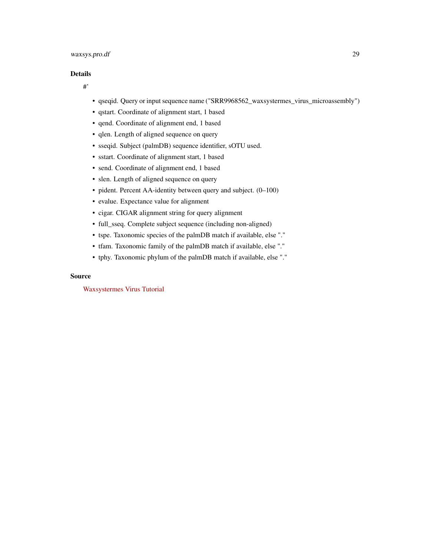## waxsys.pro.df 29

#### Details

#'

- qseqid. Query or input sequence name ("SRR9968562\_waxsystermes\_virus\_microassembly")
- qstart. Coordinate of alignment start, 1 based
- qend. Coordinate of alignment end, 1 based
- qlen. Length of aligned sequence on query
- sseqid. Subject (palmDB) sequence identifier, sOTU used.
- sstart. Coordinate of alignment start, 1 based
- send. Coordinate of alignment end, 1 based
- slen. Length of aligned sequence on query
- pident. Percent AA-identity between query and subject. (0–100)
- evalue. Expectance value for alignment
- cigar. CIGAR alignment string for query alignment
- full\_sseq. Complete subject sequence (including non-aligned)
- tspe. Taxonomic species of the palmDB match if available, else "."
- tfam. Taxonomic family of the palmDB match if available, else "."
- tphy. Taxonomic phylum of the palmDB match if available, else "."

#### Source

[Waxsystermes Virus Tutorial](https://github.com/ababaian/serratus/wiki/Find_novel_viruses_B_palmdb)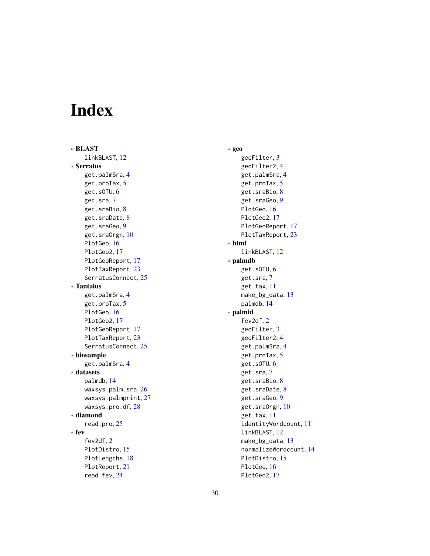# <span id="page-29-0"></span>Index

∗ BLAST linkBLAST, [12](#page-11-0) ∗ Serratus get.palmSra, [4](#page-3-0) get.proTax, [5](#page-4-0) get.sOTU, [6](#page-5-0) get.sra, [7](#page-6-0) get.sraBio, [8](#page-7-0) get.sraDate, [8](#page-7-0) get.sraGeo, [9](#page-8-0) get.sraOrgn, [10](#page-9-0) PlotGeo, [16](#page-15-0) PlotGeo2, [17](#page-16-0) PlotGeoReport, [17](#page-16-0) PlotTaxReport, [23](#page-22-0) SerratusConnect, [25](#page-24-0) ∗ Tantalus get.palmSra, [4](#page-3-0) get.proTax, [5](#page-4-0) PlotGeo, [16](#page-15-0) PlotGeo2, [17](#page-16-0) PlotGeoReport, [17](#page-16-0) PlotTaxReport, [23](#page-22-0) SerratusConnect, [25](#page-24-0) ∗ biosample get.palmSra, [4](#page-3-0) ∗ datasets palmdb, [14](#page-13-0) waxsys.palm.sra, [26](#page-25-0) waxsys.palmprint, [27](#page-26-0) waxsys.pro.df, [28](#page-27-0) ∗ diamond read.pro, [25](#page-24-0) ∗ fev fev2df, [2](#page-1-0) PlotDistro, [15](#page-14-0) PlotLengths, [18](#page-17-0) PlotReport, [21](#page-20-0) read.fev, [24](#page-23-0)

∗ geo geoFilter, [3](#page-2-0) geoFilter2, [4](#page-3-0) get.palmSra, [4](#page-3-0) get.proTax, [5](#page-4-0) get.sraBio, [8](#page-7-0) get.sraGeo, [9](#page-8-0) PlotGeo, [16](#page-15-0) PlotGeo2, [17](#page-16-0) PlotGeoReport, [17](#page-16-0) PlotTaxReport, [23](#page-22-0) ∗ html linkBLAST, [12](#page-11-0) ∗ palmdb get.sOTU, [6](#page-5-0) get.sra, [7](#page-6-0) get.tax, [11](#page-10-0) make\_bg\_data, [13](#page-12-0) palmdb, [14](#page-13-0) ∗ palmid fev2df, [2](#page-1-0) geoFilter, [3](#page-2-0) geoFilter2, [4](#page-3-0) get.palmSra, [4](#page-3-0) get.proTax, [5](#page-4-0) get.sOTU, [6](#page-5-0) get.sra, [7](#page-6-0) get.sraBio, [8](#page-7-0) get.sraDate, [8](#page-7-0) get.sraGeo, [9](#page-8-0) get.sraOrgn, [10](#page-9-0) get.tax, [11](#page-10-0) identityWordcount, [11](#page-10-0) linkBLAST, [12](#page-11-0) make\_bg\_data, [13](#page-12-0) normalizeWordcount, [14](#page-13-0) PlotDistro, [15](#page-14-0) PlotGeo, [16](#page-15-0) PlotGeo2, [17](#page-16-0)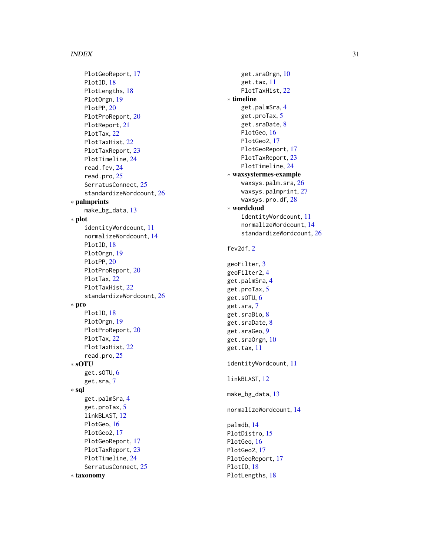#### INDEX  $31$

PlotGeoReport, [17](#page-16-0) PlotID, [18](#page-17-0) PlotLengths, [18](#page-17-0) PlotOrgn , [19](#page-18-0) PlotPP, [20](#page-19-0) PlotProReport , [20](#page-19-0) PlotReport , [21](#page-20-0) PlotTax, [22](#page-21-0) PlotTaxHist , [22](#page-21-0) PlotTaxReport, [23](#page-22-0) PlotTimeline , [24](#page-23-0) read.fev, [24](#page-23-0) read.pro , [25](#page-24-0) SerratusConnect, [25](#page-24-0) standardizeWordcount , [26](#page-25-0) ∗ palmprints make\_bg\_data , [13](#page-12-0) ∗ plot identityWordcount , [11](#page-10-0) normalizeWordcount , [14](#page-13-0) PlotID, [18](#page-17-0) PlotOrgn , [19](#page-18-0) PlotPP, [20](#page-19-0) PlotProReport , [20](#page-19-0) PlotTax, [22](#page-21-0) PlotTaxHist , [22](#page-21-0) standardizeWordcount, [26](#page-25-0) ∗ pro PlotID, [18](#page-17-0) PlotOrgn , [19](#page-18-0) PlotProReport , [20](#page-19-0) PlotTax, [22](#page-21-0) PlotTaxHist , [22](#page-21-0) read.pro , [25](#page-24-0) ∗ sOTU get.sOTU, [6](#page-5-0) get.sra , [7](#page-6-0) ∗ sql get.palmSra , [4](#page-3-0) get.proTax, [5](#page-4-0) linkBLAST , [12](#page-11-0) PlotGeo, [16](#page-15-0) PlotGeo2, [17](#page-16-0) PlotGeoReport , [17](#page-16-0) PlotTaxReport, [23](#page-22-0) PlotTimeline , [24](#page-23-0) SerratusConnect, [25](#page-24-0) ∗ taxonomy

get.sraOrgn, <mark>[10](#page-9-0)</mark> get.tax , [11](#page-10-0) PlotTaxHist, [22](#page-21-0) ∗ timeline get.palmSra,[4](#page-3-0) get.proTax , [5](#page-4-0) get.sraDate, <mark>[8](#page-7-0)</mark> PlotGeo , [16](#page-15-0) PlotGeo2 , [17](#page-16-0) PlotGeoReport, [17](#page-16-0) PlotTaxReport, [23](#page-22-0) PlotTimeline, [24](#page-23-0) ∗ waxsystermes-example waxsys.palm.sra, $26\,$  $26\,$ waxsys.palmprint , [27](#page-26-0) waxsys.pro.df,2<mark>8</mark> ∗ wordcloud identityWordcount , [11](#page-10-0) normalizeWordcount , [14](#page-13-0) standardizeWordcount , [26](#page-25-0) fev2df , [2](#page-1-0) geoFilter , [3](#page-2-0) geoFilter2 , [4](#page-3-0) get.palmSra,[4](#page-3-0) get.proTax , [5](#page-4-0) get.sOTU, <mark>[6](#page-5-0)</mark> get.sra , [7](#page-6-0) get.sraBio, <mark>[8](#page-7-0)</mark> get.sraDate, <mark>[8](#page-7-0)</mark> get.sraGeo, <mark>[9](#page-8-0)</mark> get.sraOrgn, [10](#page-9-0) get.tax , [11](#page-10-0) identityWordcount , [11](#page-10-0) linkBLAST , [12](#page-11-0) make\_bg\_data, [13](#page-12-0) normalizeWordcount , [14](#page-13-0)